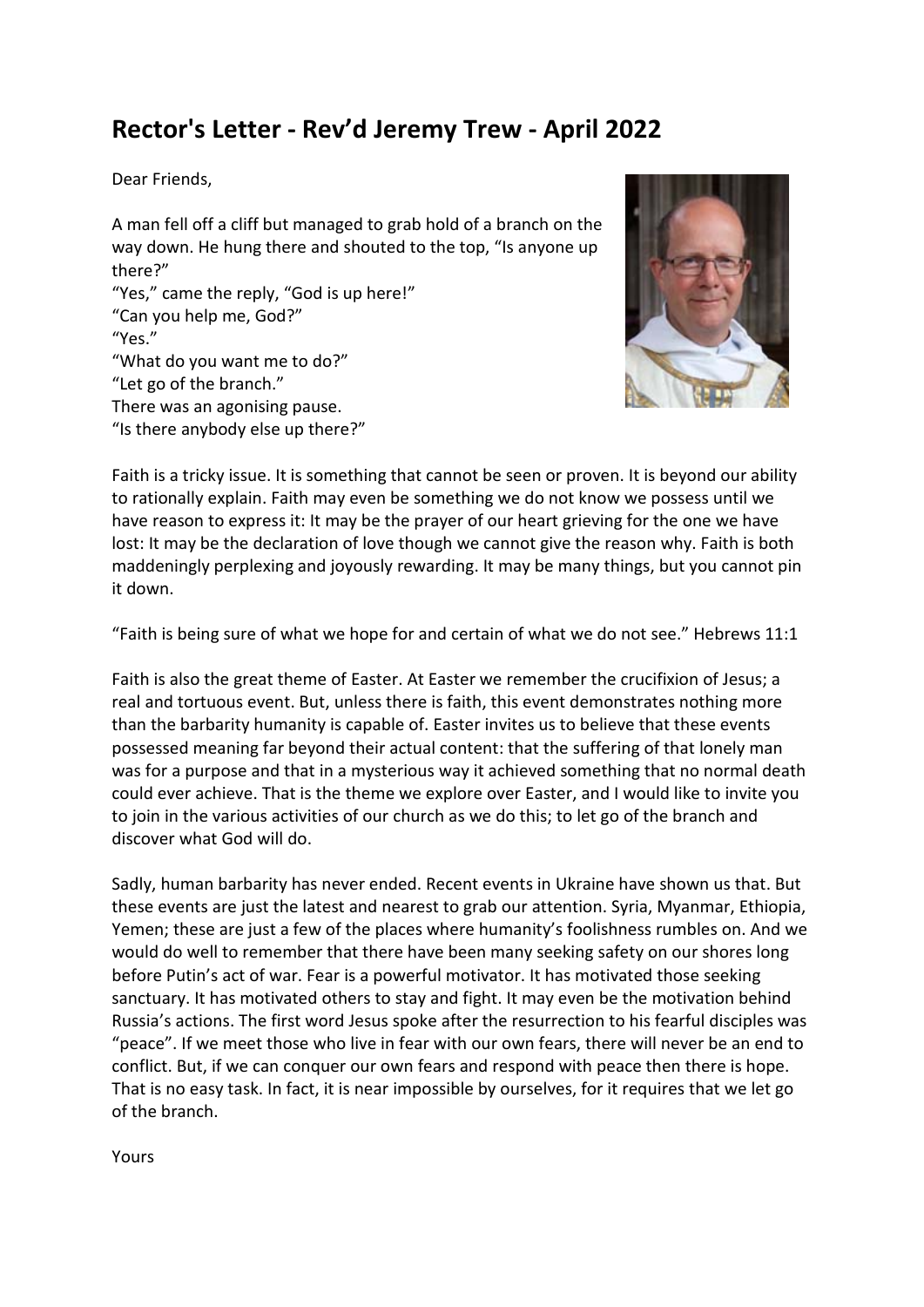## **Rector's Letter - Rev'd Jeremy Trew - April 2022**

Dear Friends,

A man fell off a cliff but managed to grab hold of a branch on the way down. He hung there and shouted to the top, "Is anyone up there?"

"Yes," came the reply, "God is up here!" "Can you help me, God?" "Yes." "What do you want me to do?" "Let go of the branch." There was an agonising pause. "Is there anybody else up there?"



Faith is a tricky issue. It is something that cannot be seen or proven. It is beyond our ability to rationally explain. Faith may even be something we do not know we possess until we have reason to express it: It may be the prayer of our heart grieving for the one we have lost: It may be the declaration of love though we cannot give the reason why. Faith is both maddeningly perplexing and joyously rewarding. It may be many things, but you cannot pin it down.

"Faith is being sure of what we hope for and certain of what we do not see." Hebrews 11:1

Faith is also the great theme of Easter. At Easter we remember the crucifixion of Jesus; a real and tortuous event. But, unless there is faith, this event demonstrates nothing more than the barbarity humanity is capable of. Easter invites us to believe that these events possessed meaning far beyond their actual content: that the suffering of that lonely man was for a purpose and that in a mysterious way it achieved something that no normal death could ever achieve. That is the theme we explore over Easter, and I would like to invite you to join in the various activities of our church as we do this; to let go of the branch and discover what God will do.

Sadly, human barbarity has never ended. Recent events in Ukraine have shown us that. But these events are just the latest and nearest to grab our attention. Syria, Myanmar, Ethiopia, Yemen; these are just a few of the places where humanity's foolishness rumbles on. And we would do well to remember that there have been many seeking safety on our shores long before Putin's act of war. Fear is a powerful motivator. It has motivated those seeking sanctuary. It has motivated others to stay and fight. It may even be the motivation behind Russia's actions. The first word Jesus spoke after the resurrection to his fearful disciples was "peace". If we meet those who live in fear with our own fears, there will never be an end to conflict. But, if we can conquer our own fears and respond with peace then there is hope. That is no easy task. In fact, it is near impossible by ourselves, for it requires that we let go of the branch.

Yours